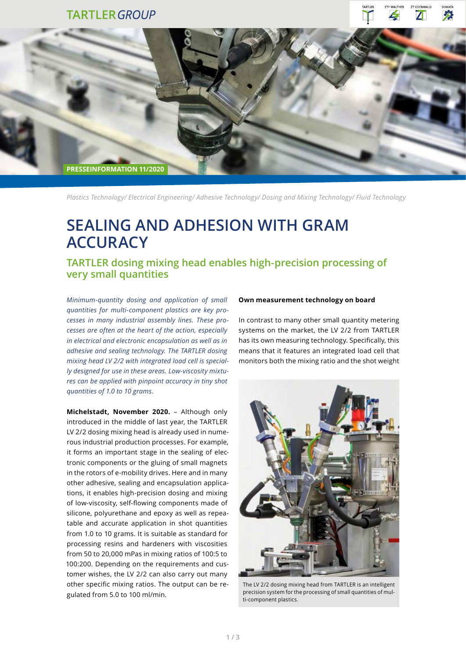## **TARTLER GROUP**





*Plastics Technology/ Electrical Engineering/ Adhesive Technology/ Dosing and Mixing Technology/ Fluid Technology*

# **SEALING AND ADHESION WITH GRAM ACCURACY**

**TARTLER dosing mixing head enables high-precision processing of very small quantities** 

*Minimum-quantity dosing and application of small quantities for multi-component plastics are key processes in many industrial assembly lines. These processes are often at the heart of the action, especially in electrical and electronic encapsulation as well as in adhesive and sealing technology. The TARTLER dosing mixing head LV 2/2 with integrated load cell is specially designed for use in these areas. Low-viscosity mixtures can be applied with pinpoint accuracy in tiny shot quantities of 1.0 to 10 grams.*

**Michelstadt, November 2020.** – Although only introduced in the middle of last year, the TARTLER LV 2/2 dosing mixing head is already used in numerous industrial production processes. For example, it forms an important stage in the sealing of electronic components or the gluing of small magnets in the rotors of e-mobility drives. Here and in many other adhesive, sealing and encapsulation applications, it enables high-precision dosing and mixing of low-viscosity, self-flowing components made of silicone, polyurethane and epoxy as well as repeatable and accurate application in shot quantities from 1.0 to 10 grams. It is suitable as standard for processing resins and hardeners with viscosities from 50 to 20,000 mPas in mixing ratios of 100:5 to 100:200. Depending on the requirements and customer wishes, the LV 2/2 can also carry out many other specific mixing ratios. The output can be regulated from 5.0 to 100 ml/min.

#### **Own measurement technology on board**

In contrast to many other small quantity metering systems on the market, the LV 2/2 from TARTLER has its own measuring technology. Specifically, this means that it features an integrated load cell that monitors both the mixing ratio and the shot weight



The LV 2/2 dosing mixing head from TARTLER is an intelligent precision system for the processing of small quantities of multi-component plastics.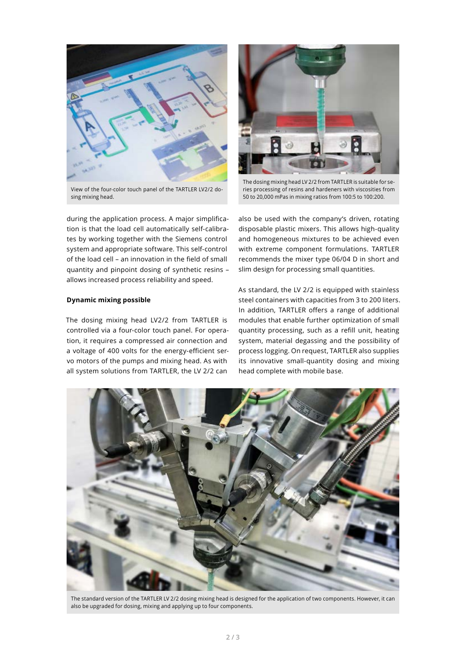

View of the four-color touch panel of the TARTLER LV2/2 dosing mixing head.

during the application process. A major simplification is that the load cell automatically self-calibrates by working together with the Siemens control system and appropriate software. This self-control of the load cell – an innovation in the field of small quantity and pinpoint dosing of synthetic resins – allows increased process reliability and speed.

#### **Dynamic mixing possible**

The dosing mixing head LV2/2 from TARTLER is controlled via a four-color touch panel. For operation, it requires a compressed air connection and a voltage of 400 volts for the energy-efficient servo motors of the pumps and mixing head. As with all system solutions from TARTLER, the LV 2/2 can



The dosing mixing head LV 2/2 from TARTLER is suitable for series processing of resins and hardeners with viscosities from 50 to 20,000 mPas in mixing ratios from 100:5 to 100:200.

also be used with the company's driven, rotating disposable plastic mixers. This allows high-quality and homogeneous mixtures to be achieved even with extreme component formulations. TARTLER recommends the mixer type 06/04 D in short and slim design for processing small quantities.

As standard, the LV 2/2 is equipped with stainless steel containers with capacities from 3 to 200 liters. In addition, TARTLER offers a range of additional modules that enable further optimization of small quantity processing, such as a refill unit, heating system, material degassing and the possibility of process logging. On request, TARTLER also supplies its innovative small-quantity dosing and mixing head complete with mobile base.



The standard version of the TARTLER LV 2/2 dosing mixing head is designed for the application of two components. However, it can also be upgraded for dosing, mixing and applying up to four components.